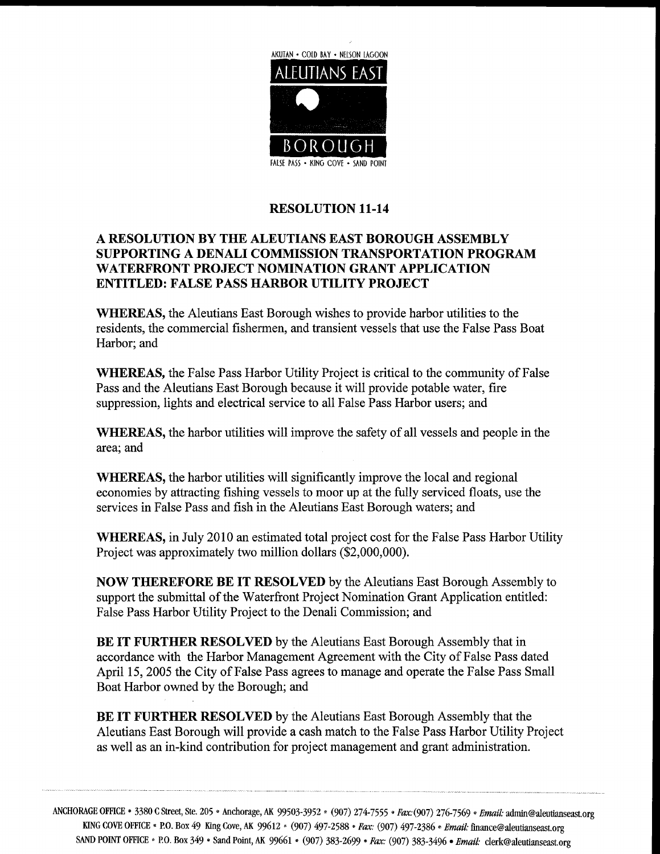

## **RESOLUTION 11-14**

## A RESOLUTION BY THE ALEUTIANS EAST BOROUGH ASSEMBLY SUPPORTING A DENALI COMMISSION TRANSPORTATION PROGRAM WATERFRONT PROJECT NOMINATION GRANT APPLICATION ENTITLED: FALSE PASS HARBOR UTILITY PROJECT

WHEREAS, the Aleutians East Borough wishes to provide harbor utilities to the residents, the commercial fishermen, and transient vessels that use the False Pass Boat Harbor; and

WHEREAS, the False Pass Harbor Utility Project is critical to the community of False Pass and the Aleutians East Borough because it will provide potable water, fire suppression, lights and electrical service to all False Pass Harbor users; and

WHEREAS, the harbor utilities will improve the safety of all vessels and people in the area; and

WHEREAS, the harbor utilities will significantly improve the local and regional economies by attracting fishing vessels to moor up at the fully serviced floats, use the services in False Pass and fish in the Aleutians East Borough waters; and

WHEREAS, in July 2010 an estimated total project cost for the False Pass Harbor Utility Project was approximately two million dollars  $(\$2,000,000)$ .

NOW THEREFORE BE IT RESOLVED by the Aleutians East Borough Assembly to support the submittal of the Waterfront Project Nomination Grant Application entitled: False Pass Harbor Utility Project to the Denali Commission; and

BE IT FURTHER RESOLVED by the Aleutians East Borough Assembly that in accordance with the Harbor Management Agreement with the City of False Pass dated April 15, 2005 the City of False Pass agrees to manage and operate the False Pass Small Boat Harbor owned by the Borough; and

BE IT FURTHER RESOLVED by the Aleutians East Borough Assembly that the Aleutians East Borough will provide a cash match to the False Pass Harbor Utility Project BE IT FURTHER RESOLVED by the Aleutians East Borough Assembly that the<br>Aleutians East Borough will provide a cash match to the False Pass Harbor Utility I<br>as well as an in-kind contribution for project management and grant

ANCHORAGE OFFICE • 3380 C Street, Ste. 205 • Anchorage, AK 99503-3952 • (907) 274-7555 • Fax: (907) 276-7569 • Email: AGE OFFICE • 3380 C Street, Ste. 205 • Anchorage, AK 99503-3952 • (907) 274-7555 • *Fax:* (907) 276-7569<br>KING COVE OFFICE • P.O. Box 49 King Cove, AK 99612 • (907) 497-2588 • *Fax:* (907) 497-2386 • *Email*. admin@aleutianseast org SAND POINT OFFICE  $\cdot$  P.O. Box 349  $\cdot$  Sand Point, AK 99661  $\cdot$ **Finance & Email:**<br>Finance & aleutianseast.org<br>*iil:* clerk @ aleutianseast.org 3952 \* (907) 274-7555 *\* Fax:* (907) 276-7569 *\* Email:* admin@aleutianse<br>7) 497-2588 *\* Fax:* (907) 497-2386 *\* Email:* finance@aleutianseast.org<br>(907) 383-2699 *\* Fax:* (907) 383-3496 *\* Email:* clerk@aleutianseast.org